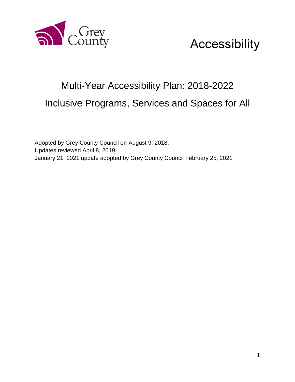

# Accessibility

# Multi-Year Accessibility Plan: 2018-2022 Inclusive Programs, Services and Spaces for All

Adopted by Grey County Council on August 9, 2018. Updates reviewed April 8, 2019. January 21, 2021 update adopted by Grey County Council February 25, 2021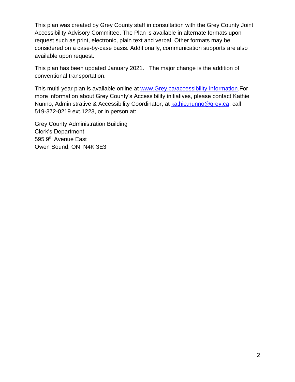This plan was created by Grey County staff in consultation with the Grey County Joint Accessibility Advisory Committee. The Plan is available in alternate formats upon request such as print, electronic, plain text and verbal. Other formats may be considered on a case-by-case basis. Additionally, communication supports are also available upon request.

This plan has been updated January 2021. The major change is the addition of conventional transportation.

This multi-year plan is available online at [www.Grey.ca/accessibility-](http://www.grey.ca/accessibility)information.For more information about Grey County's Accessibility initiatives, please contact Kathie Nunno, Administrative & Accessibility Coordinator, at [kathie.nunno@grey.ca,](mailto:kathie.nunno@grey.ca) call 519-372-0219 ext.1223, or in person at:

Grey County Administration Building Clerk's Department 595 9th Avenue East Owen Sound, ON N4K 3E3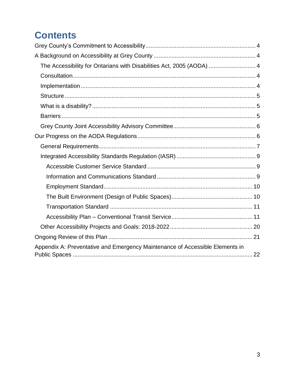# **Contents**

| The Accessibility for Ontarians with Disabilities Act, 2005 (AODA)  4        |  |
|------------------------------------------------------------------------------|--|
|                                                                              |  |
|                                                                              |  |
|                                                                              |  |
|                                                                              |  |
|                                                                              |  |
|                                                                              |  |
|                                                                              |  |
|                                                                              |  |
|                                                                              |  |
|                                                                              |  |
|                                                                              |  |
|                                                                              |  |
|                                                                              |  |
|                                                                              |  |
|                                                                              |  |
|                                                                              |  |
|                                                                              |  |
| Appendix A: Preventative and Emergency Maintenance of Accessible Elements in |  |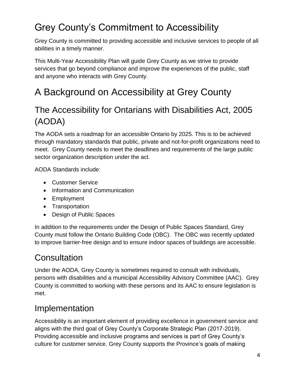# <span id="page-3-0"></span>Grey County's Commitment to Accessibility

Grey County is committed to providing accessible and inclusive services to people of all abilities in a timely manner.

This Multi-Year Accessibility Plan will guide Grey County as we strive to provide services that go beyond compliance and improve the experiences of the public, staff and anyone who interacts with Grey County.

# <span id="page-3-1"></span>A Background on Accessibility at Grey County

### <span id="page-3-2"></span>The Accessibility for Ontarians with Disabilities Act, 2005 (AODA)

The AODA sets a roadmap for an accessible Ontario by 2025. This is to be achieved through mandatory standards that public, private and not-for-profit organizations need to meet. Grey County needs to meet the deadlines and requirements of the large public sector organization description under the act.

AODA Standards include:

- Customer Service
- Information and Communication
- Employment
- Transportation
- Design of Public Spaces

In addition to the requirements under the Design of Public Spaces Standard, Grey County must follow the Ontario Building Code (OBC). The OBC was recently updated to improve barrier-free design and to ensure indoor spaces of buildings are accessible.

# <span id="page-3-3"></span>**Consultation**

Under the AODA, Grey County is sometimes required to consult with individuals, persons with disabilities and a municipal Accessibility Advisory Committee (AAC). Grey County is committed to working with these persons and its AAC to ensure legislation is met.

### <span id="page-3-4"></span>Implementation

Accessibility is an important element of providing excellence in government service and aligns with the third goal of Grey County's Corporate Strategic Plan (2017-2019). Providing accessible and inclusive programs and services is part of Grey County's culture for customer service. Grey County supports the Province's goals of making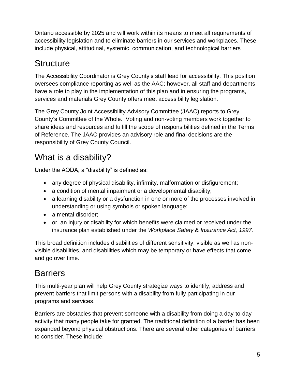Ontario accessible by 2025 and will work within its means to meet all requirements of accessibility legislation and to eliminate barriers in our services and workplaces. These include physical, attitudinal, systemic, communication, and technological barriers

### <span id="page-4-0"></span>**Structure**

The Accessibility Coordinator is Grey County's staff lead for accessibility. This position oversees compliance reporting as well as the AAC; however, all staff and departments have a role to play in the implementation of this plan and in ensuring the programs, services and materials Grey County offers meet accessibility legislation.

The Grey County Joint Accessibility Advisory Committee (JAAC) reports to Grey County's Committee of the Whole. Voting and non-voting members work together to share ideas and resources and fulfill the scope of responsibilities defined in the Terms of Reference. The JAAC provides an advisory role and final decisions are the responsibility of Grey County Council.

### <span id="page-4-1"></span>What is a disability?

Under the AODA, a "disability" is defined as:

- any degree of physical disability, infirmity, malformation or disfigurement;
- a condition of mental impairment or a developmental disability;
- a learning disability or a dysfunction in one or more of the processes involved in understanding or using symbols or spoken language;
- a mental disorder;
- or, an injury or disability for which benefits were claimed or received under the insurance plan established under the *Workplace Safety & Insurance Act, 1997*.

This broad definition includes disabilities of different sensitivity, visible as well as nonvisible disabilities, and disabilities which may be temporary or have effects that come and go over time.

### <span id="page-4-2"></span>**Barriers**

This multi-year plan will help Grey County strategize ways to identify, address and prevent barriers that limit persons with a disability from fully participating in our programs and services.

Barriers are obstacles that prevent someone with a disability from doing a day-to-day activity that many people take for granted. The traditional definition of a barrier has been expanded beyond physical obstructions. There are several other categories of barriers to consider. These include: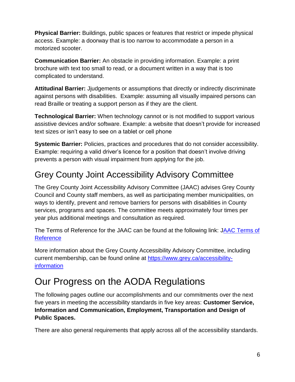**Physical Barrier:** Buildings, public spaces or features that restrict or impede physical access. Example: a doorway that is too narrow to accommodate a person in a motorized scooter.

**Communication Barrier:** An obstacle in providing information. Example: a print brochure with text too small to read, or a document written in a way that is too complicated to understand.

**Attitudinal Barrier:** Jjudgements or assumptions that directly or indirectly discriminate against persons with disabilities. Example: assuming all visually impaired persons can read Braille or treating a support person as if they are the client.

**Technological Barrier:** When technology cannot or is not modified to support various assistive devices and/or software. Example: a website that doesn't provide for increased text sizes or isn't easy to see on a tablet or cell phone

**Systemic Barrier:** Policies, practices and procedures that do not consider accessibility. Example: requiring a valid driver's licence for a position that doesn't involve driving prevents a person with visual impairment from applying for the job.

### <span id="page-5-0"></span>Grey County Joint Accessibility Advisory Committee

The Grey County Joint Accessibility Advisory Committee (JAAC) advises Grey County Council and County staff members, as well as participating member municipalities, on ways to identify, prevent and remove barriers for persons with disabilities in County services, programs and spaces. The committee meets approximately four times per year plus additional meetings and consultation as required.

The Terms of Reference for the JAAC can be found at the following link: [JAAC Terms of](https://docs.grey.ca/share/s/-VHfsiswS_CaXez7LundXA)  **[Reference](https://docs.grey.ca/share/s/-VHfsiswS_CaXez7LundXA)** 

More information about the Grey County Accessibility Advisory Committee, including current membership, can be found online at [https://www.grey.ca/accessibility](https://www.grey.ca/accessibility-information)[information](https://www.grey.ca/accessibility-information)

# <span id="page-5-1"></span>Our Progress on the AODA Regulations

The following pages outline our accomplishments and our commitments over the next five years in meeting the accessibility standards in five key areas: **Customer Service, Information and Communication, Employment, Transportation and Design of Public Spaces.**

There are also general requirements that apply across all of the accessibility standards.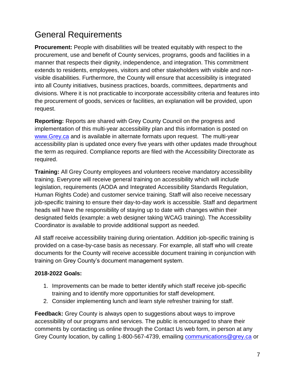## <span id="page-6-0"></span>General Requirements

**Procurement:** People with disabilities will be treated equitably with respect to the procurement, use and benefit of County services, programs, goods and facilities in a manner that respects their dignity, independence, and integration. This commitment extends to residents, employees, visitors and other stakeholders with visible and nonvisible disabilities. Furthermore, the County will ensure that accessibility is integrated into all County initiatives, business practices, boards, committees, departments and divisions. Where it is not practicable to incorporate accessibility criteria and features into the procurement of goods, services or facilities, an explanation will be provided, upon request.

**Reporting:** Reports are shared with Grey County Council on the progress and implementation of this multi-year accessibility plan and this information is posted on [www.Grey.ca](http://www.grey.ca/) and is available in alternate formats upon request. The multi-year accessibility plan is updated once every five years with other updates made throughout the term as required. Compliance reports are filed with the Accessibility Directorate as required.

**Training:** All Grey County employees and volunteers receive mandatory accessibility training. Everyone will receive general training on accessibility which will include legislation, requirements (AODA and Integrated Accessibility Standards Regulation, Human Rights Code) and customer service training. Staff will also receive necessary job-specific training to ensure their day-to-day work is accessible. Staff and department heads will have the responsibility of staying up to date with changes within their designated fields (example: a web designer taking WCAG training). The Accessibility Coordinator is available to provide additional support as needed.

All staff receive accessibility training during orientation. Addition job-specific training is provided on a case-by-case basis as necessary. For example, all staff who will create documents for the County will receive accessible document training in conjunction with training on Grey County's document management system.

#### **2018-2022 Goals:**

- 1. Improvements can be made to better identify which staff receive job-specific training and to identify more opportunities for staff development.
- 2. Consider implementing lunch and learn style refresher training for staff.

**Feedback:** Grey County is always open to suggestions about ways to improve accessibility of our programs and services. The public is encouraged to share their comments by contacting us online through the Contact Us web form, in person at any Grey County location, by calling 1-800-567-4739, emailing communications @grey.ca or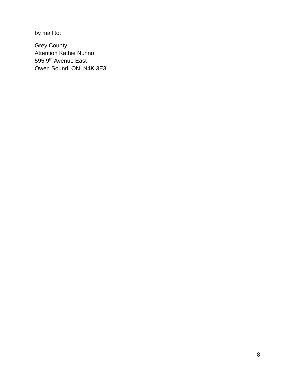by mail to:

Grey County Attention Kathie Nunno 595 9th Avenue East Owen Sound, ON N4K 3E3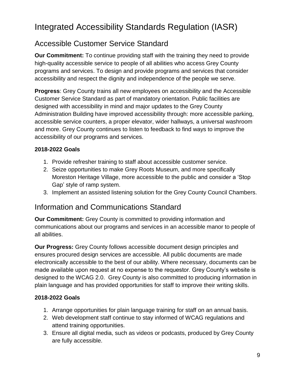### <span id="page-8-0"></span>Integrated Accessibility Standards Regulation (IASR)

### <span id="page-8-1"></span>Accessible Customer Service Standard

**Our Commitment:** To continue providing staff with the training they need to provide high-quality accessible service to people of all abilities who access Grey County programs and services. To design and provide programs and services that consider accessibility and respect the dignity and independence of the people we serve.

**Progress**: Grey County trains all new employees on accessibility and the Accessible Customer Service Standard as part of mandatory orientation. Public facilities are designed with accessibility in mind and major updates to the Grey County Administration Building have improved accessibility through: more accessible parking, accessible service counters, a proper elevator, wider hallways, a universal washroom and more. Grey County continues to listen to feedback to find ways to improve the accessibility of our programs and services.

#### **2018-2022 Goals**

- 1. Provide refresher training to staff about accessible customer service.
- 2. Seize opportunities to make Grey Roots Museum, and more specifically Moreston Heritage Village, more accessible to the public and consider a 'Stop Gap' style of ramp system.
- 3. Implement an assisted listening solution for the Grey County Council Chambers.

### <span id="page-8-2"></span>Information and Communications Standard

**Our Commitment:** Grey County is committed to providing information and communications about our programs and services in an accessible manor to people of all abilities.

**Our Progress:** Grey County follows accessible document design principles and ensures procured design services are accessible. All public documents are made electronically accessible to the best of our ability. Where necessary, documents can be made available upon request at no expense to the requestor. Grey County's website is designed to the WCAG 2.0. Grey County is also committed to producing information in plain language and has provided opportunities for staff to improve their writing skills.

#### **2018-2022 Goals**

- 1. Arrange opportunities for plain language training for staff on an annual basis.
- 2. Web development staff continue to stay informed of WCAG regulations and attend training opportunities.
- 3. Ensure all digital media, such as videos or podcasts, produced by Grey County are fully accessible.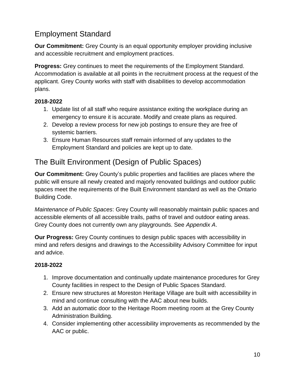### <span id="page-9-0"></span>Employment Standard

**Our Commitment:** Grey County is an equal opportunity employer providing inclusive and accessible recruitment and employment practices.

**Progress:** Grey continues to meet the requirements of the Employment Standard. Accommodation is available at all points in the recruitment process at the request of the applicant. Grey County works with staff with disabilities to develop accommodation plans.

#### **2018-2022**

- 1. Update list of all staff who require assistance exiting the workplace during an emergency to ensure it is accurate. Modify and create plans as required.
- 2. Develop a review process for new job postings to ensure they are free of systemic barriers.
- 3. Ensure Human Resources staff remain informed of any updates to the Employment Standard and policies are kept up to date.

### <span id="page-9-1"></span>The Built Environment (Design of Public Spaces)

**Our Commitment:** Grey County's public properties and facilities are places where the public will ensure all newly created and majorly renovated buildings and outdoor public spaces meet the requirements of the Built Environment standard as well as the Ontario Building Code.

*Maintenance of Public Spaces*: Grey County will reasonably maintain public spaces and accessible elements of all accessible trails, paths of travel and outdoor eating areas. Grey County does not currently own any playgrounds. See *Appendix A*.

**Our Progress:** Grey County continues to design public spaces with accessibility in mind and refers designs and drawings to the Accessibility Advisory Committee for input and advice.

#### **2018-2022**

- 1. Improve documentation and continually update maintenance procedures for Grey County facilities in respect to the Design of Public Spaces Standard.
- 2. Ensure new structures at Moreston Heritage Village are built with accessibility in mind and continue consulting with the AAC about new builds.
- 3. Add an automatic door to the Heritage Room meeting room at the Grey County Administration Building.
- 4. Consider implementing other accessibility improvements as recommended by the AAC or public.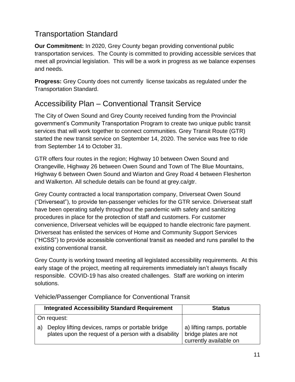### <span id="page-10-0"></span>Transportation Standard

**Our Commitment:** In 2020, Grey County began providing conventional public transportation services. The County is committed to providing accessible services that meet all provincial legislation. This will be a work in progress as we balance expenses and needs.

**Progress:** Grey County does not currently license taxicabs as regulated under the Transportation Standard.

### <span id="page-10-1"></span>Accessibility Plan – Conventional Transit Service

The City of Owen Sound and Grey County received funding from the Provincial government's Community Transportation Program to create two unique public transit services that will work together to connect communities. Grey Transit Route (GTR) started the new transit service on September 14, 2020. The service was free to ride from September 14 to October 31.

GTR offers four routes in the region; Highway 10 between Owen Sound and Orangeville, Highway 26 between Owen Sound and Town of The Blue Mountains, Highway 6 between Owen Sound and Wiarton and Grey Road 4 between Flesherton and Walkerton. All schedule details can be found at grey.ca/gtr.

Grey County contracted a local transportation company, Driverseat Owen Sound ("Driverseat"), to provide ten-passenger vehicles for the GTR service. Driverseat staff have been operating safely throughout the pandemic with safety and sanitizing procedures in place for the protection of staff and customers. For customer convenience, Driverseat vehicles will be equipped to handle electronic fare payment. Driverseat has enlisted the services of Home and Community Support Services ("HCSS") to provide accessible conventional transit as needed and runs parallel to the existing conventional transit.

Grey County is working toward meeting all legislated accessibility requirements. At this early stage of the project, meeting all requirements immediately isn't always fiscally responsible. COVID-19 has also created challenges. Staff are working on interim solutions.

|    | <b>Integrated Accessibility Standard Requirement</b>                                                      | <b>Status</b>                                                                 |
|----|-----------------------------------------------------------------------------------------------------------|-------------------------------------------------------------------------------|
|    | On request:                                                                                               |                                                                               |
| a) | Deploy lifting devices, ramps or portable bridge<br>plates upon the request of a person with a disability | a) lifting ramps, portable<br>bridge plates are not<br>currently available on |

Vehicle/Passenger Compliance for Conventional Transit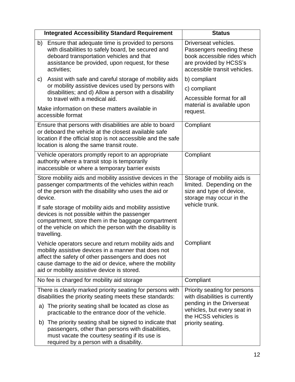|    | <b>Integrated Accessibility Standard Requirement</b>                                                                                                                                                                                                                        | <b>Status</b>                                                                                                                             |
|----|-----------------------------------------------------------------------------------------------------------------------------------------------------------------------------------------------------------------------------------------------------------------------------|-------------------------------------------------------------------------------------------------------------------------------------------|
| b) | Ensure that adequate time is provided to persons<br>with disabilities to safely board, be secured and<br>deboard transportation vehicles and that<br>assistance be provided, upon request, for these<br>activities;                                                         | Driverseat vehicles.<br>Passengers needing these<br>book accessible rides which<br>are provided by HCSS's<br>accessible transit vehicles. |
| C) | Assist with safe and careful storage of mobility aids                                                                                                                                                                                                                       | b) compliant                                                                                                                              |
|    | or mobility assistive devices used by persons with<br>disabilities; and d) Allow a person with a disability                                                                                                                                                                 | c) compliant                                                                                                                              |
|    | to travel with a medical aid.                                                                                                                                                                                                                                               | Accessible format for all<br>material is available upon                                                                                   |
|    | Make information on these matters available in<br>accessible format                                                                                                                                                                                                         | request.                                                                                                                                  |
|    | Ensure that persons with disabilities are able to board<br>or deboard the vehicle at the closest available safe<br>location if the official stop is not accessible and the safe<br>location is along the same transit route.                                                | Compliant                                                                                                                                 |
|    | Vehicle operators promptly report to an appropriate<br>authority where a transit stop is temporarily<br>inaccessible or where a temporary barrier exists                                                                                                                    | Compliant                                                                                                                                 |
|    | Store mobility aids and mobility assistive devices in the<br>passenger compartments of the vehicles within reach<br>of the person with the disability who uses the aid or<br>device.<br>If safe storage of mobility aids and mobility assistive                             | Storage of mobility aids is<br>limited. Depending on the<br>size and type of device,<br>storage may occur in the<br>vehicle trunk.        |
|    | devices is not possible within the passenger<br>compartment, store them in the baggage compartment<br>of the vehicle on which the person with the disability is<br>travelling.                                                                                              |                                                                                                                                           |
|    | Vehicle operators secure and return mobility aids and<br>mobility assistive devices in a manner that does not<br>affect the safety of other passengers and does not<br>cause damage to the aid or device, where the mobility<br>aid or mobility assistive device is stored. | Compliant                                                                                                                                 |
|    | No fee is charged for mobility aid storage                                                                                                                                                                                                                                  | Compliant                                                                                                                                 |
|    | There is clearly marked priority seating for persons with<br>disabilities the priority seating meets these standards:                                                                                                                                                       | Priority seating for persons<br>with disabilities is currently                                                                            |
| a) | The priority seating shall be located as close as<br>practicable to the entrance door of the vehicle.                                                                                                                                                                       | pending in the Driverseat<br>vehicles, but every seat in<br>the HCSS vehicles is                                                          |
| b) | The priority seating shall be signed to indicate that<br>passengers, other than persons with disabilities,<br>must vacate the courtesy seating if its use is<br>required by a person with a disability.                                                                     | priority seating.                                                                                                                         |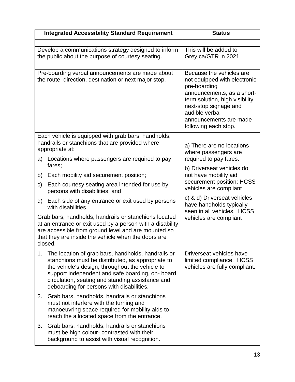|    | <b>Integrated Accessibility Standard Requirement</b>                                                                                                                                                                                                                                                           | <b>Status</b>                                                                                                                                                                                                                         |
|----|----------------------------------------------------------------------------------------------------------------------------------------------------------------------------------------------------------------------------------------------------------------------------------------------------------------|---------------------------------------------------------------------------------------------------------------------------------------------------------------------------------------------------------------------------------------|
|    |                                                                                                                                                                                                                                                                                                                |                                                                                                                                                                                                                                       |
|    | Develop a communications strategy designed to inform<br>the public about the purpose of courtesy seating.                                                                                                                                                                                                      | This will be added to<br>Grey.ca/GTR in 2021                                                                                                                                                                                          |
|    | Pre-boarding verbal announcements are made about<br>the route, direction, destination or next major stop.                                                                                                                                                                                                      | Because the vehicles are<br>not equipped with electronic<br>pre-boarding<br>announcements, as a short-<br>term solution, high visibility<br>next-stop signage and<br>audible verbal<br>announcements are made<br>following each stop. |
|    | Each vehicle is equipped with grab bars, handholds,<br>handrails or stanchions that are provided where<br>appropriate at:                                                                                                                                                                                      | a) There are no locations<br>where passengers are                                                                                                                                                                                     |
| a) | Locations where passengers are required to pay<br>fares;                                                                                                                                                                                                                                                       | required to pay fares.<br>b) Driverseat vehicles do                                                                                                                                                                                   |
| b) | Each mobility aid securement position;                                                                                                                                                                                                                                                                         | not have mobility aid                                                                                                                                                                                                                 |
| C) | Each courtesy seating area intended for use by<br>persons with disabilities; and                                                                                                                                                                                                                               | securement position; HCSS<br>vehicles are compliant                                                                                                                                                                                   |
| d) | Each side of any entrance or exit used by persons<br>with disabilities.                                                                                                                                                                                                                                        | c) & d) Driverseat vehicles<br>have handholds typically<br>seen in all vehicles. HCSS                                                                                                                                                 |
|    | Grab bars, handholds, handrails or stanchions located<br>at an entrance or exit used by a person with a disability<br>are accessible from ground level and are mounted so<br>that they are inside the vehicle when the doors are<br>closed.                                                                    | vehicles are compliant                                                                                                                                                                                                                |
| 1. | The location of grab bars, handholds, handrails or<br>stanchions must be distributed, as appropriate to<br>the vehicle's design, throughout the vehicle to<br>support independent and safe boarding, on-board<br>circulation, seating and standing assistance and<br>deboarding for persons with disabilities. | Driverseat vehicles have<br>limited compliance. HCSS<br>vehicles are fully compliant.                                                                                                                                                 |
| 2. | Grab bars, handholds, handrails or stanchions<br>must not interfere with the turning and<br>manoeuvring space required for mobility aids to<br>reach the allocated space from the entrance.                                                                                                                    |                                                                                                                                                                                                                                       |
| 3. | Grab bars, handholds, handrails or stanchions<br>must be high colour- contrasted with their<br>background to assist with visual recognition.                                                                                                                                                                   |                                                                                                                                                                                                                                       |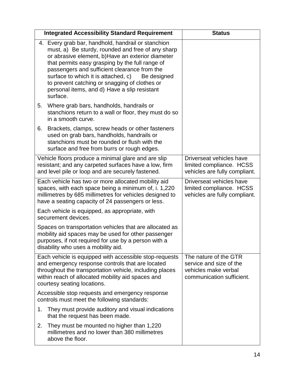| <b>Integrated Accessibility Standard Requirement</b>                                                                                                                                                                                                                                                                                                                                                                               | <b>Status</b>                                                                                         |
|------------------------------------------------------------------------------------------------------------------------------------------------------------------------------------------------------------------------------------------------------------------------------------------------------------------------------------------------------------------------------------------------------------------------------------|-------------------------------------------------------------------------------------------------------|
| 4. Every grab bar, handhold, handrail or stanchion<br>must, a) Be sturdy, rounded and free of any sharp<br>or abrasive element, b) Have an exterior diameter<br>that permits easy grasping by the full range of<br>passengers and sufficient clearance from the<br>surface to which it is attached, c)<br>Be designed<br>to prevent catching or snagging of clothes or<br>personal items, and d) Have a slip resistant<br>surface. |                                                                                                       |
| 5.<br>Where grab bars, handholds, handrails or<br>stanchions return to a wall or floor, they must do so<br>in a smooth curve.                                                                                                                                                                                                                                                                                                      |                                                                                                       |
| Brackets, clamps, screw heads or other fasteners<br>6.<br>used on grab bars, handholds, handrails or<br>stanchions must be rounded or flush with the<br>surface and free from burrs or rough edges.                                                                                                                                                                                                                                |                                                                                                       |
| Vehicle floors produce a minimal glare and are slip<br>resistant; and any carpeted surfaces have a low, firm<br>and level pile or loop and are securely fastened.                                                                                                                                                                                                                                                                  | Driverseat vehicles have<br>limited compliance. HCSS<br>vehicles are fully compliant.                 |
| Each vehicle has two or more allocated mobility aid<br>spaces, with each space being a minimum of, i. 1,220<br>millimetres by 685 millimetres for vehicles designed to<br>have a seating capacity of 24 passengers or less.                                                                                                                                                                                                        | Driverseat vehicles have<br>limited compliance. HCSS<br>vehicles are fully compliant.                 |
| Each vehicle is equipped, as appropriate, with<br>securement devices.                                                                                                                                                                                                                                                                                                                                                              |                                                                                                       |
| Spaces on transportation vehicles that are allocated as<br>mobility aid spaces may be used for other passenger<br>purposes, if not required for use by a person with a<br>disability who uses a mobility aid.                                                                                                                                                                                                                      |                                                                                                       |
| Each vehicle is equipped with accessible stop-requests<br>and emergency response controls that are located<br>throughout the transportation vehicle, including places<br>within reach of allocated mobility aid spaces and<br>courtesy seating locations.                                                                                                                                                                          | The nature of the GTR<br>service and size of the<br>vehicles make verbal<br>communication sufficient. |
| Accessible stop requests and emergency response<br>controls must meet the following standards:                                                                                                                                                                                                                                                                                                                                     |                                                                                                       |
| They must provide auditory and visual indications<br>1.<br>that the request has been made.                                                                                                                                                                                                                                                                                                                                         |                                                                                                       |
| They must be mounted no higher than 1,220<br>2.<br>millimetres and no lower than 380 millimetres<br>above the floor.                                                                                                                                                                                                                                                                                                               |                                                                                                       |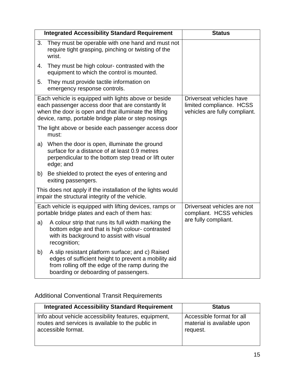|    | <b>Integrated Accessibility Standard Requirement</b>                                                                                                                                                                       | <b>Status</b>                                                                         |
|----|----------------------------------------------------------------------------------------------------------------------------------------------------------------------------------------------------------------------------|---------------------------------------------------------------------------------------|
| 3. | They must be operable with one hand and must not<br>require tight grasping, pinching or twisting of the<br>wrist.                                                                                                          |                                                                                       |
| 4. | They must be high colour- contrasted with the<br>equipment to which the control is mounted.                                                                                                                                |                                                                                       |
| 5. | They must provide tactile information on<br>emergency response controls.                                                                                                                                                   |                                                                                       |
|    | Each vehicle is equipped with lights above or beside<br>each passenger access door that are constantly lit<br>when the door is open and that illuminate the lifting<br>device, ramp, portable bridge plate or step nosings | Driverseat vehicles have<br>limited compliance. HCSS<br>vehicles are fully compliant. |
|    | The light above or beside each passenger access door<br>must:                                                                                                                                                              |                                                                                       |
| a) | When the door is open, illuminate the ground<br>surface for a distance of at least 0.9 metres<br>perpendicular to the bottom step tread or lift outer<br>edge; and                                                         |                                                                                       |
| b) | Be shielded to protect the eyes of entering and<br>exiting passengers.                                                                                                                                                     |                                                                                       |
|    | This does not apply if the installation of the lights would<br>impair the structural integrity of the vehicle.                                                                                                             |                                                                                       |
|    | Each vehicle is equipped with lifting devices, ramps or<br>portable bridge plates and each of them has:                                                                                                                    | Driverseat vehicles are not<br>compliant. HCSS vehicles                               |
| a) | A colour strip that runs its full width marking the<br>bottom edge and that is high colour- contrasted<br>with its background to assist with visual<br>recognition;                                                        | are fully compliant.                                                                  |
| b) | A slip resistant platform surface; and c) Raised<br>edges of sufficient height to prevent a mobility aid<br>from rolling off the edge of the ramp during the<br>boarding or deboarding of passengers.                      |                                                                                       |

### Additional Conventional Transit Requirements

| <b>Integrated Accessibility Standard Requirement</b>  | <b>Status</b>              |
|-------------------------------------------------------|----------------------------|
| Info about vehicle accessibility features, equipment, | Accessible format for all  |
| routes and services is available to the public in     | material is available upon |
| accessible format.                                    | request.                   |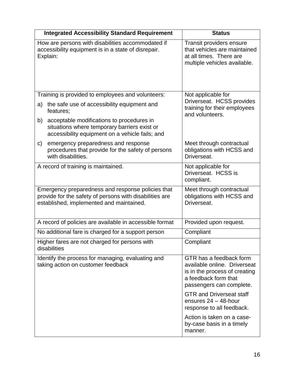| <b>Integrated Accessibility Standard Requirement</b>                                                                                                     | <b>Status</b>                                                                                                                                |
|----------------------------------------------------------------------------------------------------------------------------------------------------------|----------------------------------------------------------------------------------------------------------------------------------------------|
| How are persons with disabilities accommodated if<br>accessibility equipment is in a state of disrepair.<br>Explain:                                     | Transit providers ensure<br>that vehicles are maintained<br>at all times. There are<br>multiple vehicles available.                          |
| Training is provided to employees and volunteers:                                                                                                        | Not applicable for                                                                                                                           |
| the safe use of accessibility equipment and<br>a)<br>features;                                                                                           | Driverseat. HCSS provides<br>training for their employees<br>and volunteers.                                                                 |
| acceptable modifications to procedures in<br>b)<br>situations where temporary barriers exist or<br>accessibility equipment on a vehicle fails; and       |                                                                                                                                              |
| emergency preparedness and response<br>C)<br>procedures that provide for the safety of persons<br>with disabilities.                                     | Meet through contractual<br>obligations with HCSS and<br>Driverseat.                                                                         |
| A record of training is maintained.                                                                                                                      | Not applicable for<br>Driverseat. HCSS is<br>compliant.                                                                                      |
| Emergency preparedness and response policies that<br>provide for the safety of persons with disabilities are<br>established, implemented and maintained. | Meet through contractual<br>obligations with HCSS and<br>Driverseat.                                                                         |
| A record of policies are available in accessible format                                                                                                  | Provided upon request.                                                                                                                       |
| No additional fare is charged for a support person                                                                                                       | Compliant                                                                                                                                    |
| Higher fares are not charged for persons with<br>disabilities                                                                                            | Compliant                                                                                                                                    |
| Identify the process for managing, evaluating and<br>taking action on customer feedback                                                                  | GTR has a feedback form<br>available online. Driverseat<br>is in the process of creating<br>a feedback form that<br>passengers can complete. |
|                                                                                                                                                          | <b>GTR and Driverseat staff</b><br>ensures $24 - 48$ -hour<br>response to all feedback.                                                      |
|                                                                                                                                                          | Action is taken on a case-<br>by-case basis in a timely<br>manner.                                                                           |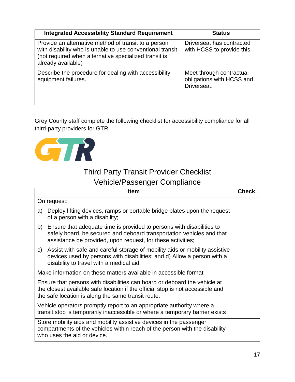| <b>Integrated Accessibility Standard Requirement</b>                                                                                                                                             | <b>Status</b>                                                        |
|--------------------------------------------------------------------------------------------------------------------------------------------------------------------------------------------------|----------------------------------------------------------------------|
| Provide an alternative method of transit to a person<br>with disability who is unable to use conventional transit<br>(not required when alternative specialized transit is<br>already available) | Driverseat has contracted<br>with HCSS to provide this.              |
| Describe the procedure for dealing with accessibility<br>equipment failures.                                                                                                                     | Meet through contractual<br>obligations with HCSS and<br>Driverseat. |

Grey County staff complete the following checklist for accessibility compliance for all third-party providers for GTR.



### Third Party Transit Provider Checklist Vehicle/Passenger Compliance

|    | ltem                                                                                                                                                                                                              | <b>Check</b> |
|----|-------------------------------------------------------------------------------------------------------------------------------------------------------------------------------------------------------------------|--------------|
|    | On request:                                                                                                                                                                                                       |              |
| a) | Deploy lifting devices, ramps or portable bridge plates upon the request<br>of a person with a disability;                                                                                                        |              |
| b) | Ensure that adequate time is provided to persons with disabilities to<br>safely board, be secured and deboard transportation vehicles and that<br>assistance be provided, upon request, for these activities;     |              |
| C) | Assist with safe and careful storage of mobility aids or mobility assistive<br>devices used by persons with disabilities; and d) Allow a person with a<br>disability to travel with a medical aid.                |              |
|    | Make information on these matters available in accessible format                                                                                                                                                  |              |
|    | Ensure that persons with disabilities can board or deboard the vehicle at<br>the closest available safe location if the official stop is not accessible and<br>the safe location is along the same transit route. |              |
|    | Vehicle operators promptly report to an appropriate authority where a<br>transit stop is temporarily inaccessible or where a temporary barrier exists                                                             |              |
|    | Store mobility aids and mobility assistive devices in the passenger<br>compartments of the vehicles within reach of the person with the disability<br>who uses the aid or device.                                 |              |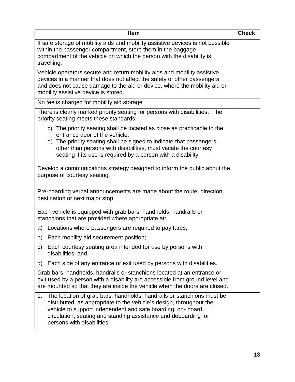| <b>Item</b>                                                                                                                                                                                                                                                                                                         | <b>Check</b> |
|---------------------------------------------------------------------------------------------------------------------------------------------------------------------------------------------------------------------------------------------------------------------------------------------------------------------|--------------|
| If safe storage of mobility aids and mobility assistive devices is not possible<br>within the passenger compartment, store them in the baggage<br>compartment of the vehicle on which the person with the disability is<br>travelling.                                                                              |              |
| Vehicle operators secure and return mobility aids and mobility assistive<br>devices in a manner that does not affect the safety of other passengers<br>and does not cause damage to the aid or device, where the mobility aid or<br>mobility assistive device is stored.                                            |              |
| No fee is charged for mobility aid storage                                                                                                                                                                                                                                                                          |              |
| There is clearly marked priority seating for persons with disabilities. The<br>priority seating meets these standards:                                                                                                                                                                                              |              |
| c) The priority seating shall be located as close as practicable to the<br>entrance door of the vehicle.<br>d) The priority seating shall be signed to indicate that passengers,<br>other than persons with disabilities, must vacate the courtesy<br>seating if its use is required by a person with a disability. |              |
| Develop a communications strategy designed to inform the public about the<br>purpose of courtesy seating.                                                                                                                                                                                                           |              |
| Pre-boarding verbal announcements are made about the route, direction,<br>destination or next major stop.                                                                                                                                                                                                           |              |
| Each vehicle is equipped with grab bars, handholds, handrails or<br>stanchions that are provided where appropriate at:                                                                                                                                                                                              |              |
| Locations where passengers are required to pay fares;<br>a)                                                                                                                                                                                                                                                         |              |
| Each mobility aid securement position;<br>b)                                                                                                                                                                                                                                                                        |              |
| Each courtesy seating area intended for use by persons with<br>C)<br>disabilities; and                                                                                                                                                                                                                              |              |
| Each side of any entrance or exit used by persons with disabilities.<br>d)                                                                                                                                                                                                                                          |              |
| Grab bars, handholds, handrails or stanchions located at an entrance or<br>exit used by a person with a disability are accessible from ground level and<br>are mounted so that they are inside the vehicle when the doors are closed.                                                                               |              |
| The location of grab bars, handholds, handrails or stanchions must be<br>1.<br>distributed, as appropriate to the vehicle's design, throughout the<br>vehicle to support independent and safe boarding, on-board<br>circulation, seating and standing assistance and deboarding for<br>persons with disabilities.   |              |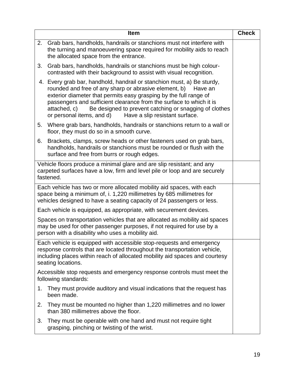|    | <b>Item</b>                                                                                                                                                                                                                                                                                                                                                                                                                     | <b>Check</b> |
|----|---------------------------------------------------------------------------------------------------------------------------------------------------------------------------------------------------------------------------------------------------------------------------------------------------------------------------------------------------------------------------------------------------------------------------------|--------------|
| 2. | Grab bars, handholds, handrails or stanchions must not interfere with<br>the turning and manoeuvering space required for mobility aids to reach<br>the allocated space from the entrance.                                                                                                                                                                                                                                       |              |
| 3. | Grab bars, handholds, handrails or stanchions must be high colour-<br>contrasted with their background to assist with visual recognition.                                                                                                                                                                                                                                                                                       |              |
|    | 4. Every grab bar, handhold, handrail or stanchion must, a) Be sturdy,<br>rounded and free of any sharp or abrasive element, b)<br>Have an<br>exterior diameter that permits easy grasping by the full range of<br>passengers and sufficient clearance from the surface to which it is<br>Be designed to prevent catching or snagging of clothes<br>attached, c)<br>Have a slip resistant surface.<br>or personal items, and d) |              |
| 5. | Where grab bars, handholds, handrails or stanchions return to a wall or<br>floor, they must do so in a smooth curve.                                                                                                                                                                                                                                                                                                            |              |
| 6. | Brackets, clamps, screw heads or other fasteners used on grab bars,<br>handholds, handrails or stanchions must be rounded or flush with the<br>surface and free from burrs or rough edges.                                                                                                                                                                                                                                      |              |
|    | Vehicle floors produce a minimal glare and are slip resistant; and any<br>carpeted surfaces have a low, firm and level pile or loop and are securely<br>fastened.                                                                                                                                                                                                                                                               |              |
|    | Each vehicle has two or more allocated mobility aid spaces, with each<br>space being a minimum of, i. 1,220 millimetres by 685 millimetres for<br>vehicles designed to have a seating capacity of 24 passengers or less.                                                                                                                                                                                                        |              |
|    | Each vehicle is equipped, as appropriate, with securement devices.                                                                                                                                                                                                                                                                                                                                                              |              |
|    | Spaces on transportation vehicles that are allocated as mobility aid spaces<br>may be used for other passenger purposes, if not required for use by a<br>person with a disability who uses a mobility aid.                                                                                                                                                                                                                      |              |
|    | Each vehicle is equipped with accessible stop-requests and emergency<br>response controls that are located throughout the transportation vehicle,<br>including places within reach of allocated mobility aid spaces and courtesy<br>seating locations.                                                                                                                                                                          |              |
|    | Accessible stop requests and emergency response controls must meet the<br>following standards:                                                                                                                                                                                                                                                                                                                                  |              |
| 1. | They must provide auditory and visual indications that the request has<br>been made.                                                                                                                                                                                                                                                                                                                                            |              |
| 2. | They must be mounted no higher than 1,220 millimetres and no lower<br>than 380 millimetres above the floor.                                                                                                                                                                                                                                                                                                                     |              |
| 3. | They must be operable with one hand and must not require tight<br>grasping, pinching or twisting of the wrist.                                                                                                                                                                                                                                                                                                                  |              |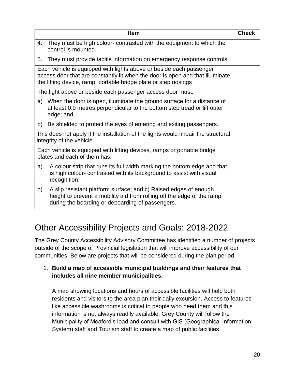|                                                                                                                                                                                                                         | <b>Item</b>                                                                                                                                                                                    | <b>Check</b> |
|-------------------------------------------------------------------------------------------------------------------------------------------------------------------------------------------------------------------------|------------------------------------------------------------------------------------------------------------------------------------------------------------------------------------------------|--------------|
| 4.                                                                                                                                                                                                                      | They must be high colour- contrasted with the equipment to which the<br>control is mounted.                                                                                                    |              |
| 5.                                                                                                                                                                                                                      | They must provide tactile information on emergency response controls.                                                                                                                          |              |
| Each vehicle is equipped with lights above or beside each passenger<br>access door that are constantly lit when the door is open and that illuminate<br>the lifting device, ramp, portable bridge plate or step nosings |                                                                                                                                                                                                |              |
|                                                                                                                                                                                                                         | The light above or beside each passenger access door must:                                                                                                                                     |              |
|                                                                                                                                                                                                                         | a) When the door is open, illuminate the ground surface for a distance of<br>at least 0.9 metres perpendicular to the bottom step tread or lift outer<br>edge; and                             |              |
|                                                                                                                                                                                                                         | b) Be shielded to protect the eyes of entering and exiting passengers.                                                                                                                         |              |
| This does not apply if the installation of the lights would impair the structural<br>integrity of the vehicle.                                                                                                          |                                                                                                                                                                                                |              |
| Each vehicle is equipped with lifting devices, ramps or portable bridge<br>plates and each of them has:                                                                                                                 |                                                                                                                                                                                                |              |
| a)                                                                                                                                                                                                                      | A colour strip that runs its full width marking the bottom edge and that<br>is high colour- contrasted with its background to assist with visual<br>recognition;                               |              |
| b)                                                                                                                                                                                                                      | A slip resistant platform surface; and c) Raised edges of enough<br>height to prevent a mobility aid from rolling off the edge of the ramp<br>during the boarding or deboarding of passengers. |              |

### <span id="page-19-0"></span>Other Accessibility Projects and Goals: 2018-2022

The Grey County Accessibility Advisory Committee has identified a number of projects outside of the scope of Provincial legislation that will improve accessibility of our communities. Below are projects that will be considered during the plan period.

#### 1. **Build a map of accessible municipal buildings and their features that includes all nine member municipalities.**

A map showing locations and hours of accessible facilities will help both residents and visitors to the area plan their daily excursion. Access to features like accessible washrooms is critical to people who need them and this information is not always readily available. Grey County will follow the Municipality of Meaford's lead and consult with GIS (Geographical Information System) staff and Tourism staff to create a map of public facilities.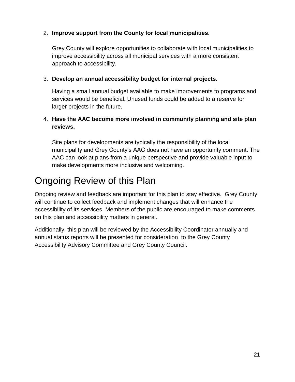#### 2. **Improve support from the County for local municipalities.**

Grey County will explore opportunities to collaborate with local municipalities to improve accessibility across all municipal services with a more consistent approach to accessibility.

#### 3. **Develop an annual accessibility budget for internal projects.**

Having a small annual budget available to make improvements to programs and services would be beneficial. Unused funds could be added to a reserve for larger projects in the future.

#### 4. **Have the AAC become more involved in community planning and site plan reviews.**

Site plans for developments are typically the responsibility of the local municipality and Grey County's AAC does not have an opportunity comment. The AAC can look at plans from a unique perspective and provide valuable input to make developments more inclusive and welcoming.

## <span id="page-20-0"></span>Ongoing Review of this Plan

Ongoing review and feedback are important for this plan to stay effective. Grey County will continue to collect feedback and implement changes that will enhance the accessibility of its services. Members of the public are encouraged to make comments on this plan and accessibility matters in general.

Additionally, this plan will be reviewed by the Accessibility Coordinator annually and annual status reports will be presented for consideration to the Grey County Accessibility Advisory Committee and Grey County Council.